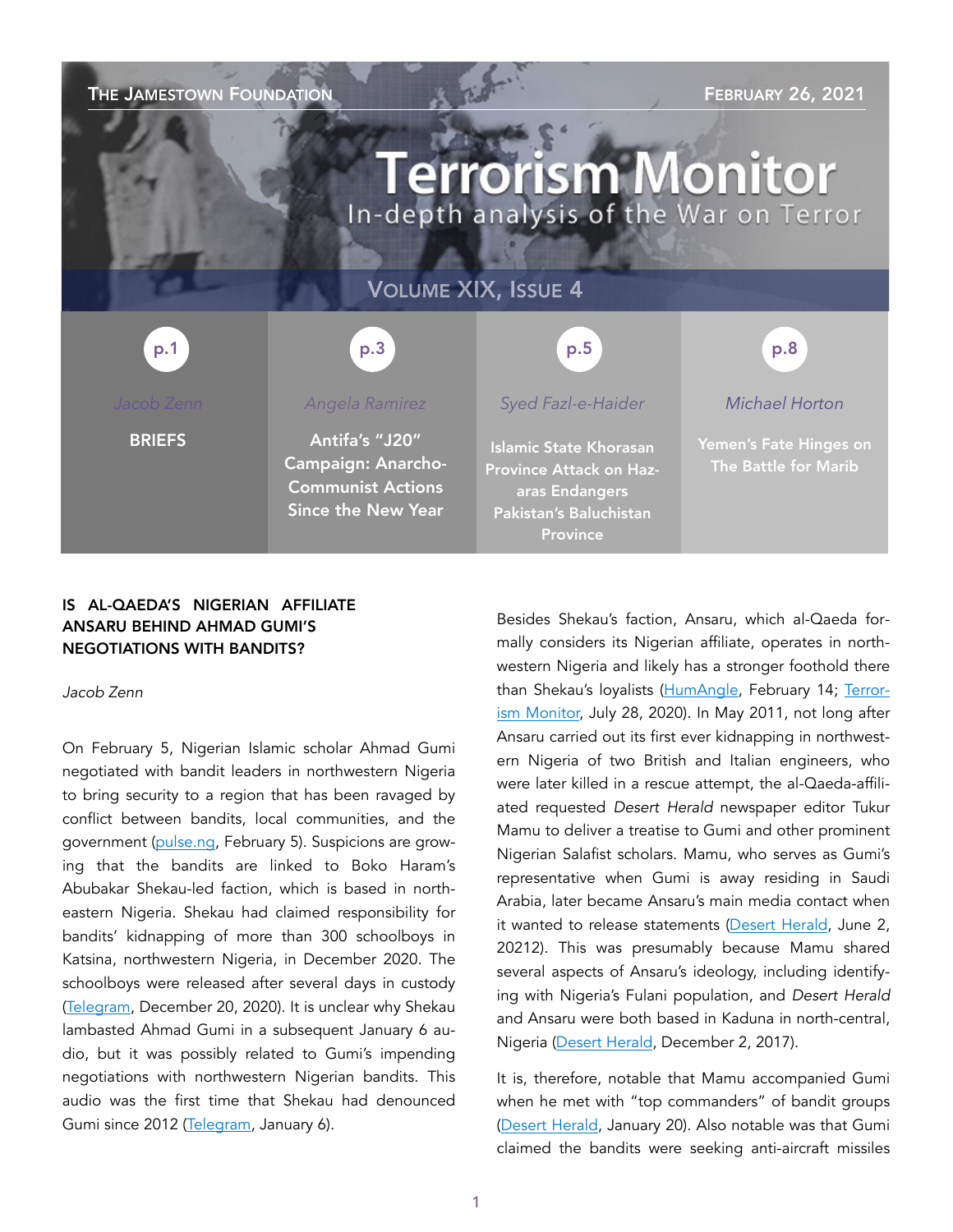## THE JAMESTOWN FOUNDATION FIND THE STATE STATE STATE STATE STATE STATE STATE STATE STATE STATE STATE STATE STATE STATE STATE STATE STATE STATE STATE STATE STATE STATE STATE STATE STATE STATE STATE STATE STATE STATE STATE ST

# **Terrorism Monitor** In-depth analysis of the War on Terror

## VOLUME XIX, ISSUE 4



**BRIEFS** 

## *Angela Ramirez*

Antifa's "J20" Campaign: Anarcho-Communist Actions Since the New Year

## *Syed Fazl-e-Haider*

Islamic State Khorasan Province Attack on Hazaras Endangers Pakistan's Baluchistan Province

## *Michael Horton*

Yemen's Fate Hinges on The Battle for Marib

### IS AL-QAEDA'S NIGERIAN AFFILIATE ANSARU BEHIND AHMAD GUMI'S NEGOTIATIONS WITH BANDITS?

*Jacob Zenn* 

On February 5, Nigerian Islamic scholar Ahmad Gumi negotiated with bandit leaders in northwestern Nigeria to bring security to a region that has been ravaged by conflict between bandits, local communities, and the government ([pulse.ng](https://www.pulse.ng/news/local/sheikh-gumi-negotiating-with-bandits-easiest-way-to-end-insecurity/01lt1qr), February 5). Suspicions are growing that the bandits are linked to Boko Haram's Abubakar Shekau-led faction, which is based in northeastern Nigeria. Shekau had claimed responsibility for bandits' kidnapping of more than 300 schoolboys in Katsina, northwestern Nigeria, in December 2020. The schoolboys were released after several days in custody ([Telegram,](https://unmaskingbokoharam.com/2020/12/22/boko-haram-proof-of-life-of-kankara-schoolboys-video-december-17-2020/) December 20, 2020). It is unclear why Shekau lambasted Ahmad Gumi in a subsequent January 6 audio, but it was possibly related to Gumi's impending negotiations with northwestern Nigerian bandits. This audio was the first time that Shekau had denounced Gumi since 2012 [\(Telegram](https://unmaskingbokoharam.com/2021/01/08/boko-haram-abubakar-shekau-letter-to-ahmad-gumi-video-january-6-2021/), January 6).

Besides Shekau's faction, Ansaru, which al-Qaeda formally considers its Nigerian affiliate, operates in northwestern Nigeria and likely has a stronger foothold there than Shekau's loyalists ([HumAngle](https://humangle.ng/nigeria-air-force-loses-7-men-in-kaduna-terrorist-ambush/), February 14; [Terror](https://jamestown.org/program/boko-harams-expansionary-project-in-northwestern-nigeria-can-shekau-outflank-ansaru-and-islamic-state-in-west-africa-province/)[ism Monitor,](https://jamestown.org/program/boko-harams-expansionary-project-in-northwestern-nigeria-can-shekau-outflank-ansaru-and-islamic-state-in-west-africa-province/) July 28, 2020). In May 2011, not long after Ansaru carried out its first ever kidnapping in northwestern Nigeria of two British and Italian engineers, who were later killed in a rescue attempt, the al-Qaeda-affiliated requested *Desert Herald* newspaper editor Tukur Mamu to deliver a treatise to Gumi and other prominent Nigerian Salafist scholars. Mamu, who serves as Gumi's representative when Gumi is away residing in Saudi Arabia, later became Ansaru's main media contact when it wanted to release statements ([Desert Herald,](https://unmaskingbokoharam.com/2019/10/18/desert-herald-another-islamic-sect%20-emerges-to-counter-boko-haram-june-2-2012/) June 2, 20212). This was presumably because Mamu shared several aspects of Ansaru's ideology, including identifying with Nigeria's Fulani population, and *Desert Herald* and Ansaru were both based in Kaduna in north-central, Nigeria (Desert Herald, December 2, 2017).

It is, therefore, notable that Mamu accompanied Gumi when he met with "top commanders" of bandit groups ([Desert Herald](https://twitter.com/desert_herald/status/1351849685443620868), January 20). Also notable was that Gumi claimed the bandits were seeking anti-aircraft missiles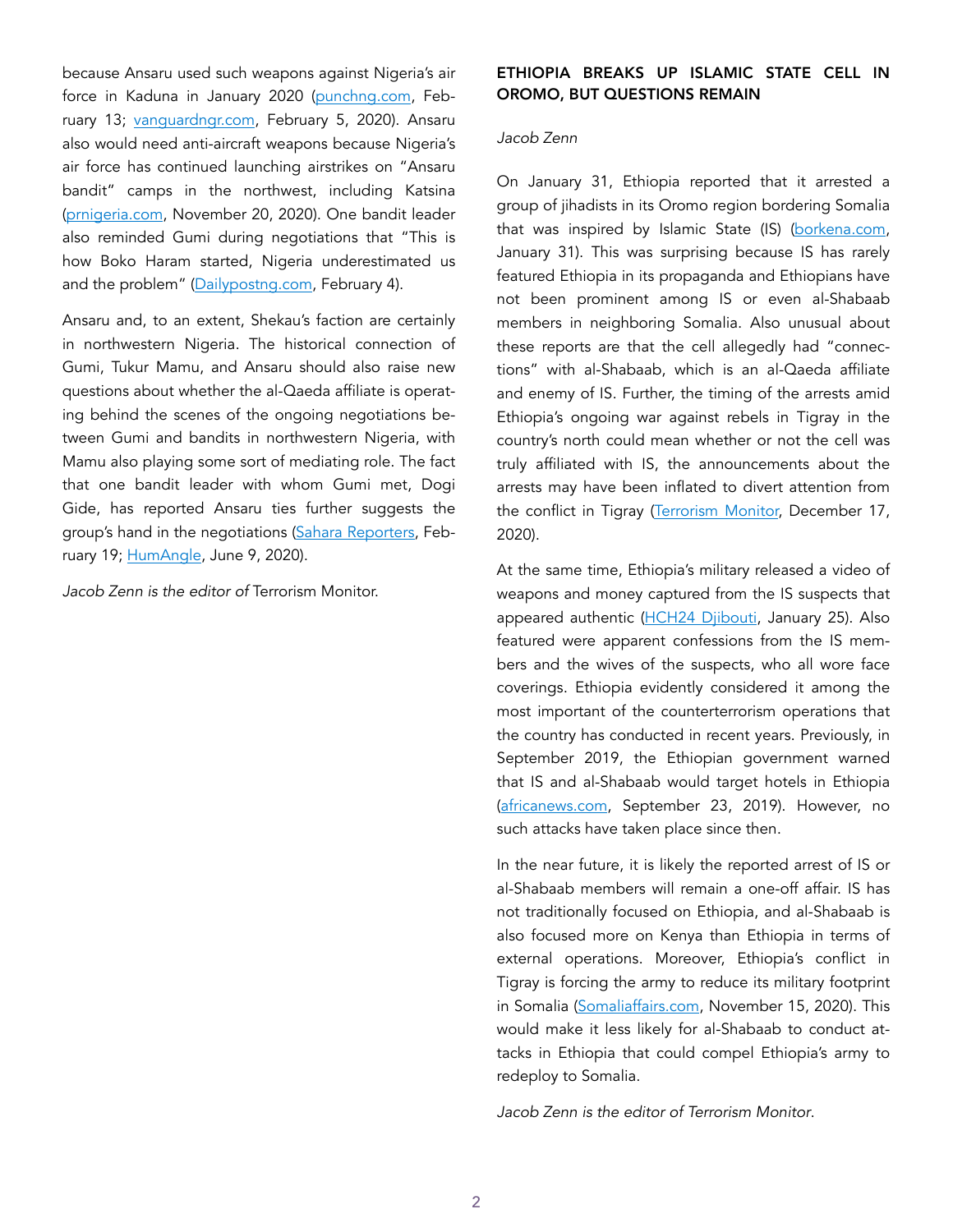because Ansaru used such weapons against Nigeria's air force in Kaduna in January 2020 ([punchng.com](https://punchng.com/bandits-plan-to-acquire-anti-aircraft-missiles-gumi/), February 13; [vanguardngr.com,](https://www.vanguardngr.com/2020/02/police-storm-ansaru-terrorists-camp-neautralise-250-terrorists-bandits/) February 5, 2020). Ansaru also would need anti-aircraft weapons because Nigeria's air force has continued launching airstrikes on "Ansaru bandit" camps in the northwest, including Katsina ([prnigeria.com,](https://prnigeria.com/2020/11/20/video-katsina-forest-naf-aircraft-spot-ansaru-bandits-fire-rockets-on-targets/) November 20, 2020). One bandit leader also reminded Gumi during negotiations that "This is how Boko Haram started, Nigeria underestimated us and the problem" [\(Dailypostng.com,](https://dailypost.ng/2021/02/04/this-is-how-boko-haram-started-bandit-leaders-dare-nigerian-authorities/) February 4).

Ansaru and, to an extent, Shekau's faction are certainly in northwestern Nigeria. The historical connection of Gumi, Tukur Mamu, and Ansaru should also raise new questions about whether the al-Qaeda affiliate is operating behind the scenes of the ongoing negotiations between Gumi and bandits in northwestern Nigeria, with Mamu also playing some sort of mediating role. The fact that one bandit leader with whom Gumi met, Dogi Gide, has reported Ansaru ties further suggests the group's hand in the negotiations [\(Sahara Reporters](http://saharareporters.com/2021/02/19/islamic-cleric-gumi-niger-ssg-meet-bandits-forest-appeal-release-abductees), Feb-ruary 19; [HumAngle](https://humangle.ng/terrorists-suffer-major-casualties-as-dogo-gide-nurse-injury/), June 9, 2020).

*Jacob Zenn is the editor of* Terrorism Monitor.

## ETHIOPIA BREAKS UP ISLAMIC STATE CELL IN OROMO, BUT QUESTIONS REMAIN

### *Jacob Zenn*

On January 31, Ethiopia reported that it arrested a group of jihadists in its Oromo region bordering Somalia that was inspired by Islamic State (IS) ([borkena.com](https://borkena.com/2021/01/31/islamic-state-centre-extremist-groups-arrested-in-bale/), January 31). This was surprising because IS has rarely featured Ethiopia in its propaganda and Ethiopians have not been prominent among IS or even al-Shabaab members in neighboring Somalia. Also unusual about these reports are that the cell allegedly had "connections" with al-Shabaab, which is an al-Qaeda affiliate and enemy of IS. Further, the timing of the arrests amid Ethiopia's ongoing war against rebels in Tigray in the country's north could mean whether or not the cell was truly affiliated with IS, the announcements about the arrests may have been inflated to divert attention from the conflict in Tigray ([Terrorism Monitor,](https://jamestown.org/program/how-war-in-ethiopia-impacts-red-sea-and-horn-of-africa-power-politics-the-battle-in-tigray-and-beyond/) December 17, 2020).

At the same time, Ethiopia's military released a video of weapons and money captured from the IS suspects that appeared authentic [\(HCH24 Djibouti,](https://www.youtube.com/watch?v=N3UZGfvXtBQ&feature=youtu.be) January 25). Also featured were apparent confessions from the IS members and the wives of the suspects, who all wore face coverings. Ethiopia evidently considered it among the most important of the counterterrorism operations that the country has conducted in recent years. Previously, in September 2019, the Ethiopian government warned that IS and al-Shabaab would target hotels in Ethiopia ([africanews.com](https://www.africanews.com/2019/09/23/ethiopia-army-arrests-islamic-state-members-recruiting-arming-locals/), September 23, 2019). However, no such attacks have taken place since then.

In the near future, it is likely the reported arrest of IS or al-Shabaab members will remain a one-off affair. IS has not traditionally focused on Ethiopia, and al-Shabaab is also focused more on Kenya than Ethiopia in terms of external operations. Moreover, Ethiopia's conflict in Tigray is forcing the army to reduce its military footprint in Somalia [\(Somaliaffairs.com,](https://www.somaliaffairs.com/news/ethiopia-reportedly-withdraws-troops-from-somalia-as-fighting-rages-in-tigray/) November 15, 2020). This would make it less likely for al-Shabaab to conduct attacks in Ethiopia that could compel Ethiopia's army to redeploy to Somalia.

*Jacob Zenn is the editor of Terrorism Monitor*.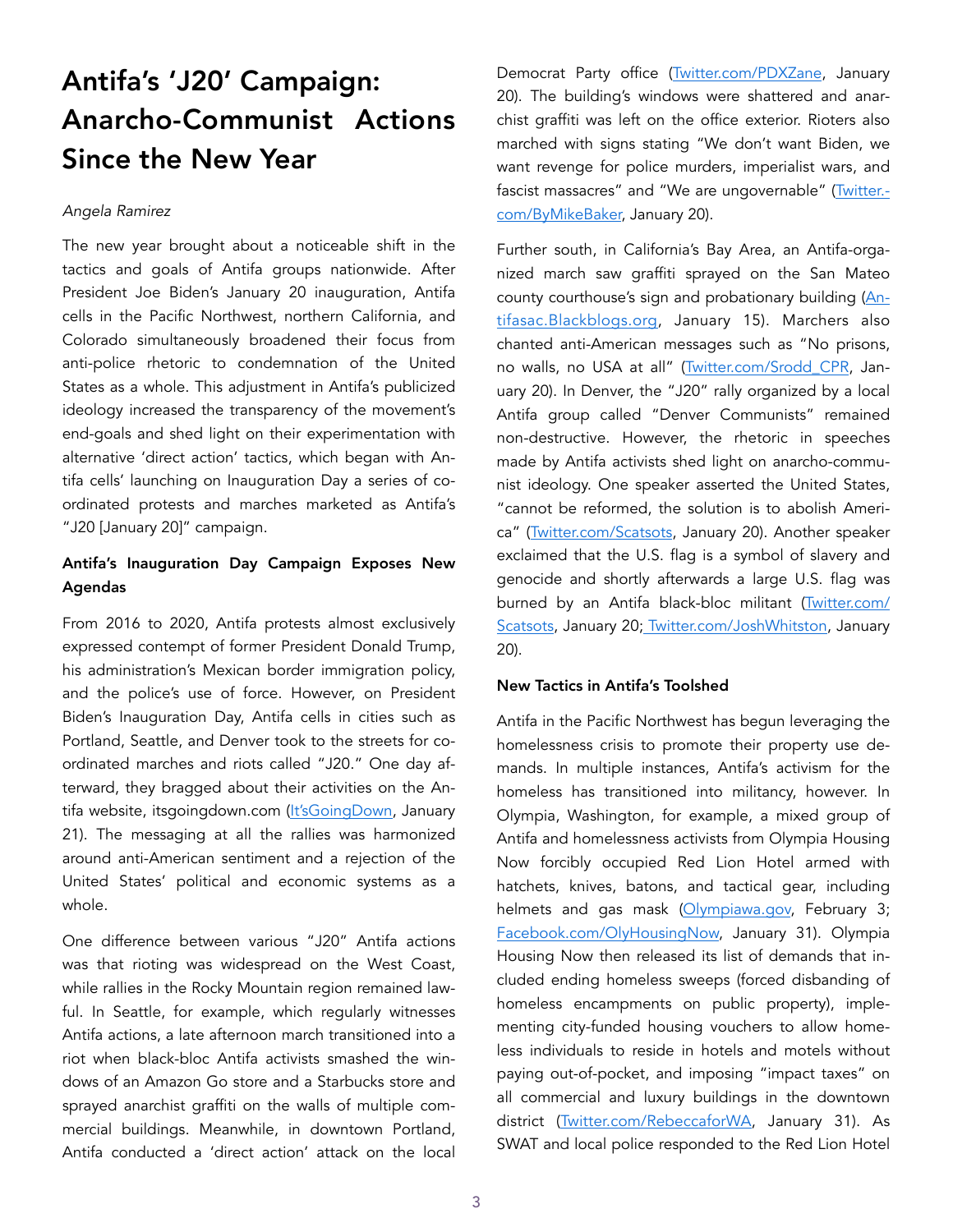## Antifa's 'J20' Campaign: Anarcho-Communist Actions Since the New Year

#### *Angela Ramirez*

The new year brought about a noticeable shift in the tactics and goals of Antifa groups nationwide. After President Joe Biden's January 20 inauguration, Antifa cells in the Pacific Northwest, northern California, and Colorado simultaneously broadened their focus from anti-police rhetoric to condemnation of the United States as a whole. This adjustment in Antifa's publicized ideology increased the transparency of the movement's end-goals and shed light on their experimentation with alternative 'direct action' tactics, which began with Antifa cells' launching on Inauguration Day a series of coordinated protests and marches marketed as Antifa's "J20 [January 20]" campaign.

## Antifa's Inauguration Day Campaign Exposes New Agendas

From 2016 to 2020, Antifa protests almost exclusively expressed contempt of former President Donald Trump, his administration's Mexican border immigration policy, and the police's use of force. However, on President Biden's Inauguration Day, Antifa cells in cities such as Portland, Seattle, and Denver took to the streets for coordinated marches and riots called "J20." One day afterward, they bragged about their activities on the An-tifa website, itsgoingdown.com ([It'sGoingDown](https://itsgoingdown.org/resistance-in-the-streets-on-j20-confronts-far-right-denounces-neoliberalism/), January 21). The messaging at all the rallies was harmonized around anti-American sentiment and a rejection of the United States' political and economic systems as a whole.

One difference between various "J20" Antifa actions was that rioting was widespread on the West Coast, while rallies in the Rocky Mountain region remained lawful. In Seattle, for example, which regularly witnesses Antifa actions, a late afternoon march transitioned into a riot when black-bloc Antifa activists smashed the windows of an Amazon Go store and a Starbucks store and sprayed anarchist graffiti on the walls of multiple commercial buildings. Meanwhile, in downtown Portland, Antifa conducted a 'direct action' attack on the local

Democrat Party office [\(Twitter.com/PDXZane](https://twitter.com/PDXzane/status/1352040561088163840), January 20). The building's windows were shattered and anarchist graffiti was left on the office exterior. Rioters also marched with signs stating "We don't want Biden, we want revenge for police murders, imperialist wars, and fascist massacres" and "We are ungovernable" [\(Twitter.](https://twitter.com/ByMikeBaker/status/1352037060421402629?ref_src=twsrc%5Etfw%7Ctwcamp%5Etweetembed%7Ctwterm%5E1352042120106762240%7Ctwgr%5E%7Ctwcon%5Es2_&ref_url=https://thenomanzone.com/index.php/2021/01/23/antifaabolishamerica/) [com/ByMikeBaker,](https://twitter.com/ByMikeBaker/status/1352037060421402629?ref_src=twsrc%5Etfw%7Ctwcamp%5Etweetembed%7Ctwterm%5E1352042120106762240%7Ctwgr%5E%7Ctwcon%5Es2_&ref_url=https://thenomanzone.com/index.php/2021/01/23/antifaabolishamerica/) January 20).

Further south, in California's Bay Area, an Antifa-organized march saw graffiti sprayed on the San Mateo county courthouse's sign and probationary building [\(An](https://antifasac.blackblogs.org/2021/01/15/we-will-not-be-deterred-j20-stop-the-fascist-creep-all-out-for-sac/)[tifasac.Blackblogs.org,](https://antifasac.blackblogs.org/2021/01/15/we-will-not-be-deterred-j20-stop-the-fascist-creep-all-out-for-sac/) January 15). Marchers also chanted anti-American messages such as "No prisons, no walls, no USA at all" [\(Twitter.com/Srodd\\_CPR,](https://twitter.com/SRodd_CPR/status/1351990214126837760) January 20). In Denver, the "J20" rally organized by a local Antifa group called "Denver Communists" remained non-destructive. However, the rhetoric in speeches made by Antifa activists shed light on anarcho-communist ideology. One speaker asserted the United States, "cannot be reformed, the solution is to abolish America" ([Twitter.com/Scatsots](https://twitter.com/SCATSOTS/status/1352039968013643776), January 20). Another speaker exclaimed that the U.S. flag is a symbol of slavery and genocide and shortly afterwards a large U.S. flag was burned by an Antifa black-bloc militant [\(Twitter.com/](https://twitter.com/SCATSOTS/status/1352039134735572993?ref_src=twsrc%5Etfw%7Ctwcamp%5Etweetembed%7Ctwterm%5E1352039134735572993%7Ctwgr%5E%7Ctwcon%5Es1_&ref_url=https://thenomanzone.com/index.php/2021/01/23/antifaabolishamerica/) [Scatsots,](https://twitter.com/SCATSOTS/status/1352039134735572993?ref_src=twsrc%5Etfw%7Ctwcamp%5Etweetembed%7Ctwterm%5E1352039134735572993%7Ctwgr%5E%7Ctwcon%5Es1_&ref_url=https://thenomanzone.com/index.php/2021/01/23/antifaabolishamerica/) January 20[; Twitter.com/JoshWhitston,](https://twitter.com/JoshWhitston/status/1351982157615554560?ref_src=twsrc%5Etfw%7Ctwcamp%5Etweetembed%7Ctwterm%5E1351982157615554560%7Ctwgr%5E%7Ctwcon%5Es1_&ref_url=https://www.newsweek.com/protesters-burn-american-flag-steps-colorado-capitol-inauguration-underway-1563199) January 20).

### New Tactics in Antifa's Toolshed

Antifa in the Pacific Northwest has begun leveraging the homelessness crisis to promote their property use demands. In multiple instances, Antifa's activism for the homeless has transitioned into militancy, however. In Olympia, Washington, for example, a mixed group of Antifa and homelessness activists from Olympia Housing Now forcibly occupied Red Lion Hotel armed with hatchets, knives, batons, and tactical gear, including helmets and gas mask ([Olympiawa.gov](https://mailchi.mp/olympiawa.gov/statement-on-red-lion-occupation), February 3; [Facebook.com/OlyHousingNow,](https://www.facebook.com/olyhousingnow/photos/a.103140738465123/106743474771516/) January 31). Olympia Housing Now then released its list of demands that included ending homeless sweeps (forced disbanding of homeless encampments on public property), implementing city-funded housing vouchers to allow homeless individuals to reside in hotels and motels without paying out-of-pocket, and imposing "impact taxes" on all commercial and luxury buildings in the downtown district [\(Twitter.com/RebeccaforWA,](https://twitter.com/RebeccaforWA/status/1355968332512391169) January 31). As SWAT and local police responded to the Red Lion Hotel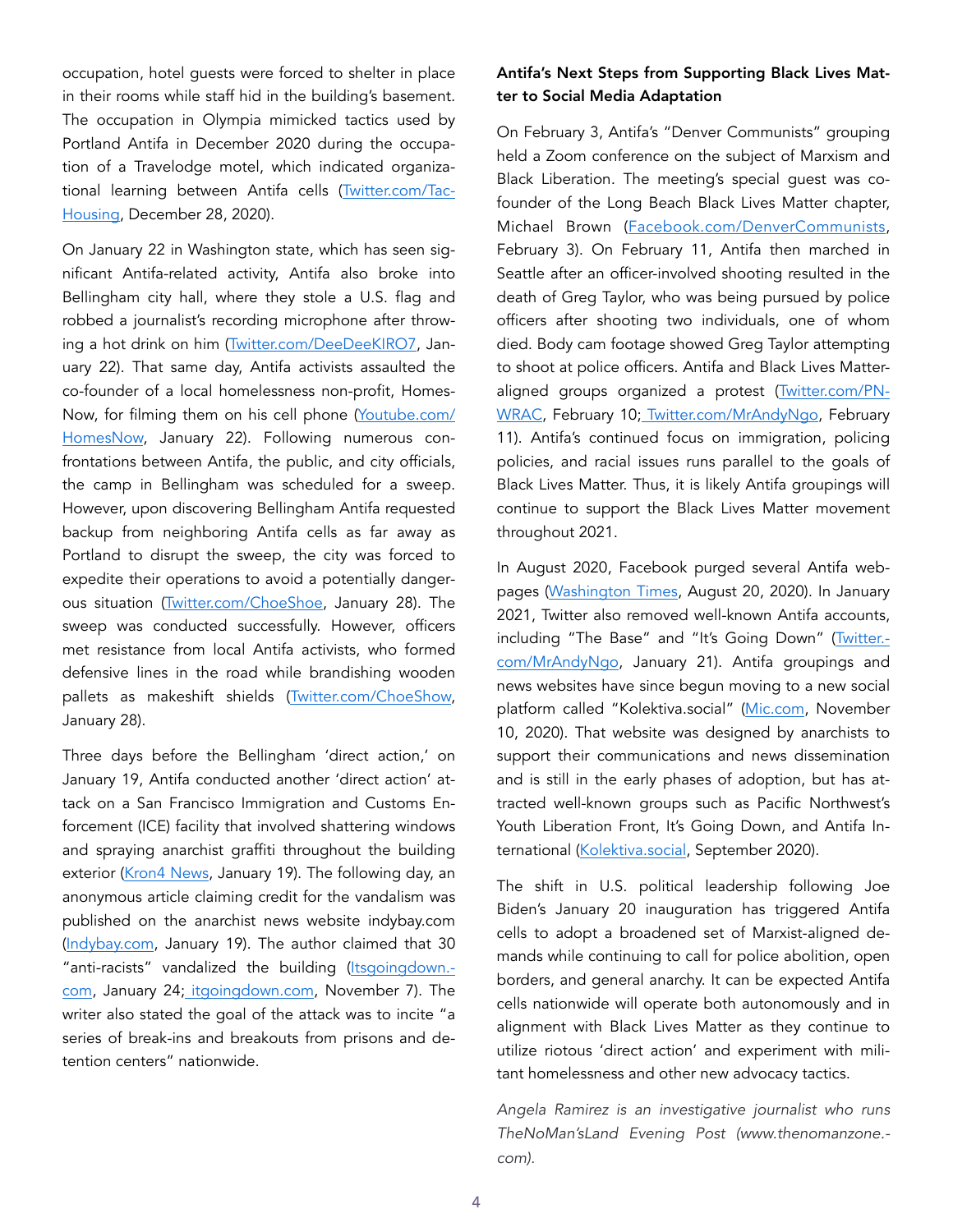occupation, hotel guests were forced to shelter in place in their rooms while staff hid in the building's basement. The occupation in Olympia mimicked tactics used by Portland Antifa in December 2020 during the occupation of a Travelodge motel, which indicated organizational learning between Antifa cells [\(Twitter.com/Tac](https://twitter.com/TacHousing/status/1343769375715692550)-[Housing](https://twitter.com/TacHousing/status/1343769375715692550), December 28, 2020).

On January 22 in Washington state, which has seen significant Antifa-related activity, Antifa also broke into Bellingham city hall, where they stole a U.S. flag and robbed a journalist's recording microphone after throwing a hot drink on him [\(Twitter.com/DeeDeeKIRO7,](https://twitter.com/DeedeeKIRO7/status/1352768804472852482?ref_src=twsrc%5Etfw%7Ctwcamp%5Etweetembed%7Ctwterm%5E1352768804472852482%7Ctwgr%5E%7Ctwcon%5Es1_&ref_url=https://thenomanzone.com/index.php/2021/02/04/washington-antifa-militancy-in-the-name-of-homeless-advocacy/) January 22). That same day, Antifa activists assaulted the co-founder of a local homelessness non-profit, Homes-Now, for filming them on his cell phone [\(Youtube.com/](https://www.youtube.com/watch?v=L7ltssHZkXM) [HomesNow](https://www.youtube.com/watch?v=L7ltssHZkXM), January 22). Following numerous confrontations between Antifa, the public, and city officials, the camp in Bellingham was scheduled for a sweep. However, upon discovering Bellingham Antifa requested backup from neighboring Antifa cells as far away as Portland to disrupt the sweep, the city was forced to expedite their operations to avoid a potentially dangerous situation [\(Twitter.com/ChoeShoe](https://twitter.com/choeshow/status/1354983912397627392?ref_src=twsrc%5Etfw%7Ctwcamp%5Etweetembed%7Ctwterm%5E1354983912397627392%7Ctwgr%5E%7Ctwcon%5Es1_&ref_url=https://thenomanzone.com/index.php/2021/02/04/washington-antifa-militancy-in-the-name-of-homeless-advocacy/), January 28). The sweep was conducted successfully. However, officers met resistance from local Antifa activists, who formed defensive lines in the road while brandishing wooden pallets as makeshift shields ([Twitter.com/ChoeShow,](https://twitter.com/choeshow/status/1354912468204572672) January 28).

Three days before the Bellingham 'direct action,' on January 19, Antifa conducted another 'direct action' attack on a San Francisco Immigration and Customs Enforcement (ICE) facility that involved shattering windows and spraying anarchist graffiti throughout the building exterior ([Kron4 News](https://www.kron4.com/video/san-francisco%E2%80%99s-citizenship-and-immigration-office-vandalized/6211670/), January 19). The following day, an anonymous article claiming credit for the vandalism was published on the anarchist news website indybay.com ([Indybay.com,](https://www.indybay.org/newsitems/2021/01/19/18839440.php) January 19). The author claimed that 30 "anti-racists" vandalized the building [\(Itsgoingdown.](https://itsgoingdown.org/keep-us-alive-and-vibrant-out-there-an-interview-with-political-prisoner-eric-king/)[com](https://itsgoingdown.org/keep-us-alive-and-vibrant-out-there-an-interview-with-political-prisoner-eric-king/), January 24; [itgoingdown.com,](https://itsgoingdown.org/outrage-grows-in-wake-of-brutal-government-crackdown-of-anti-racist-activists-in-manhattan/) November 7). The writer also stated the goal of the attack was to incite "a series of break-ins and breakouts from prisons and detention centers" nationwide.

## Antifa's Next Steps from Supporting Black Lives Matter to Social Media Adaptation

On February 3, Antifa's "Denver Communists" grouping held a Zoom conference on the subject of Marxism and Black Liberation. The meeting's special guest was cofounder of the Long Beach Black Lives Matter chapter, Michael Brown ([Facebook.com/DenverCommunists](https://www.facebook.com/events/161834872165120), February 3). On February 11, Antifa then marched in Seattle after an officer-involved shooting resulted in the death of Greg Taylor, who was being pursued by police officers after shooting two individuals, one of whom died. Body cam footage showed Greg Taylor attempting to shoot at police officers. Antifa and Black Lives Matteraligned groups organized a protest ([Twitter.com/PN-](https://twitter.com/PNWRAC/status/1359704559858249740)[WRAC,](https://twitter.com/PNWRAC/status/1359704559858249740) February 10[; Twitter.com/MrAndyNgo](https://twitter.com/MrAndyNgo/status/1359791379346513921), February 11). Antifa's continued focus on immigration, policing policies, and racial issues runs parallel to the goals of Black Lives Matter. Thus, it is likely Antifa groupings will continue to support the Black Lives Matter movement throughout 2021.

In August 2020, Facebook purged several Antifa webpages ([Washington Times,](https://www.washingtontimes.com/news/2020/aug/20/facebook-removes-980-antifa-related-groups-impleme/) August 20, 2020). In January 2021, Twitter also removed well-known Antifa accounts, including "The Base" and "It's Going Down" [\(Twitter.](https://twitter.com/MrAndyNgo/status/1352399672594345985?s=19) [com/MrAndyNgo,](https://twitter.com/MrAndyNgo/status/1352399672594345985?s=19) January 21). Antifa groupings and news websites have since begun moving to a new social platform called "Kolektiva.social" ([Mic.com](https://www.mic.com/p/inside-kolektiva-the-social-media-platform-built-by-anarchists-activists-42617028), November 10, 2020). That website was designed by anarchists to support their communications and news dissemination and is still in the early phases of adoption, but has attracted well-known groups such as Pacific Northwest's Youth Liberation Front, It's Going Down, and Antifa International ([Kolektiva.social](https://kolektiva.social/), September 2020).

The shift in U.S. political leadership following Joe Biden's January 20 inauguration has triggered Antifa cells to adopt a broadened set of Marxist-aligned demands while continuing to call for police abolition, open borders, and general anarchy. It can be expected Antifa cells nationwide will operate both autonomously and in alignment with Black Lives Matter as they continue to utilize riotous 'direct action' and experiment with militant homelessness and other new advocacy tactics.

*Angela Ramirez is an investigative journalist who runs TheNoMan'sLand Evening Post (www.thenomanzone. com).*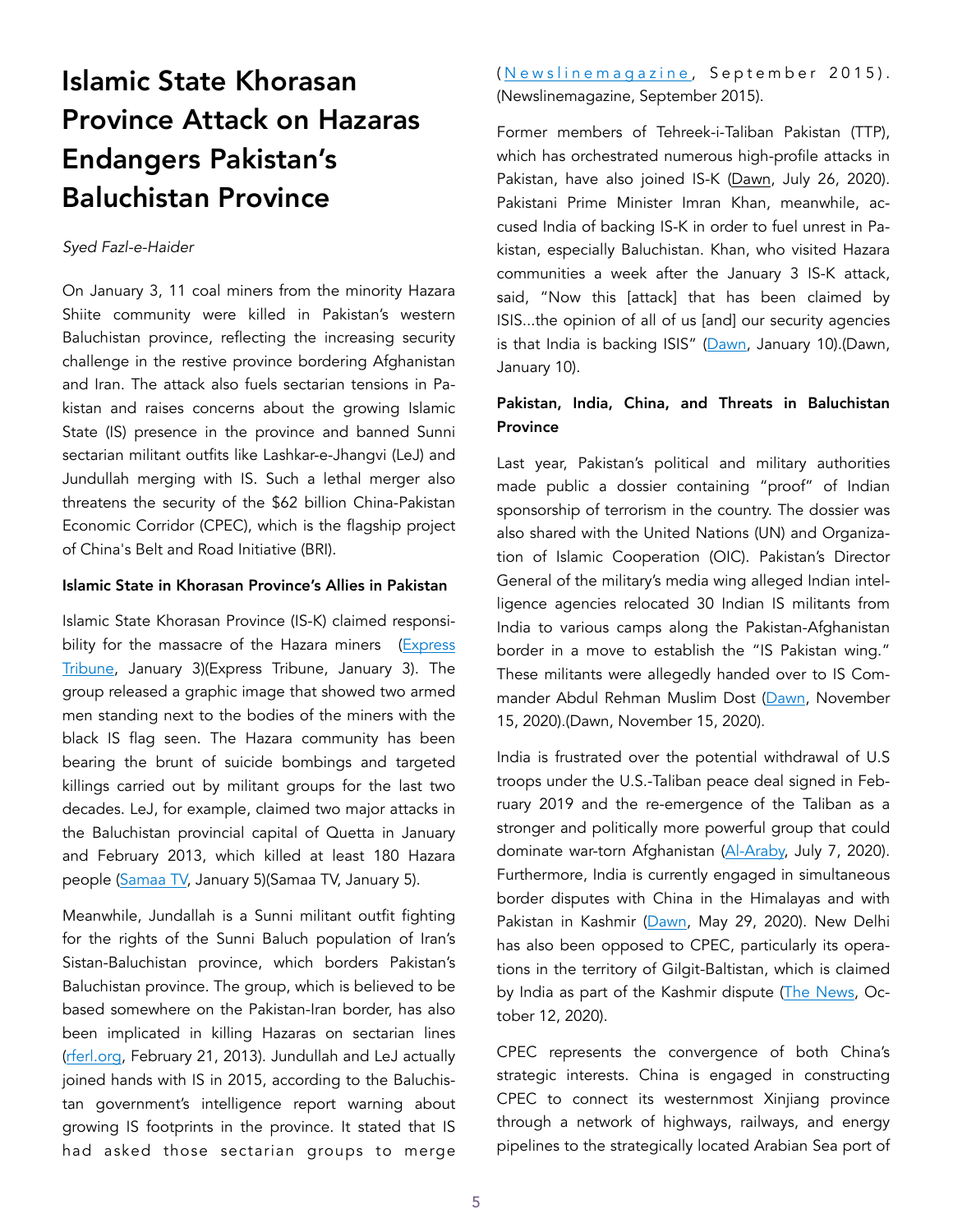## Islamic State Khorasan Province Attack on Hazaras Endangers Pakistan's Baluchistan Province

### *Syed Fazl-e-Haider*

On January 3, 11 coal miners from the minority Hazara Shiite community were killed in Pakistan's western Baluchistan province, reflecting the increasing security challenge in the restive province bordering Afghanistan and Iran. The attack also fuels sectarian tensions in Pakistan and raises concerns about the growing Islamic State (IS) presence in the province and banned Sunni sectarian militant outfits like Lashkar-e-Jhangvi (LeJ) and Jundullah merging with IS. Such a lethal merger also threatens the security of the \$62 billion China-Pakistan Economic Corridor (CPEC), which is the flagship project of China's Belt and Road Initiative (BRI).

### Islamic State in Khorasan Province's Allies in Pakistan

Islamic State Khorasan Province (IS-K) claimed responsibility for the massacre of the Hazara miners (Express [Tribune](https://tribune.com.pk/story/2278470/daish-claims-responsibility-for-killing-11-coal-miners-in-machh), January 3)(Express Tribune, January 3). The group released a graphic image that showed two armed men standing next to the bodies of the miners with the black IS flag seen. The Hazara community has been bearing the brunt of suicide bombings and targeted killings carried out by militant groups for the last two decades. LeJ, for example, claimed two major attacks in the Baluchistan provincial capital of Quetta in January and February 2013, which killed at least 180 Hazara people [\(Samaa TV,](https://www.samaa.tv/news/pakistan/2021/01/hazaras-under-attack-in-balochistan/)) January 5) (Samaa TV, January 5).

Meanwhile, Jundallah is a Sunni militant outfit fighting for the rights of the Sunni Baluch population of Iran's Sistan-Baluchistan province, which borders Pakistan's Baluchistan province. The group, which is believed to be based somewhere on the Pakistan-Iran border, has also been implicated in killing Hazaras on sectarian lines ([rferl.org](https://www.rferl.org/a/pakistan-hazaras-sectarian-crossfire/24908361.html), February 21, 2013). Jundullah and LeJ actually joined hands with IS in 2015, according to the Baluchistan government's intelligence report warning about growing IS footprints in the province. It stated that IS had asked those sectarian groups to merge ([Newslinemagazine](https://newslinemagazine.com/magazine/cover-story-our-own-worst-enemy/), September 2015). (Newslinemagazine, September 2015).

Former members of Tehreek-i-Taliban Pakistan (TTP), which has orchestrated numerous high-profile attacks in Pakistan, have also joined IS-K [\(Dawn,](https://www.dawn.com/news/1571172) July 26, 2020). Pakistani Prime Minister Imran Khan, meanwhile, accused India of backing IS-K in order to fuel unrest in Pakistan, especially Baluchistan. Khan, who visited Hazara communities a week after the January 3 IS-K attack, said, "Now this [attack] that has been claimed by ISIS...the opinion of all of us [and] our security agencies is that India is backing ISIS" [\(Dawn,](https://www.dawn.com/news/1600800/india-backing-is-to-spread-unrest-in-pakistan-pm-imran-on-hazara-killings) January 10).(Dawn, January 10).

## Pakistan, India, China, and Threats in Baluchistan **Province**

Last year, Pakistan's political and military authorities made public a dossier containing "proof" of Indian sponsorship of terrorism in the country. The dossier was also shared with the United Nations (UN) and Organization of Islamic Cooperation (OIC). Pakistan's Director General of the military's media wing alleged Indian intelligence agencies relocated 30 Indian IS militants from India to various camps along the Pakistan-Afghanistan border in a move to establish the "IS Pakistan wing." These militants were allegedly handed over to IS Commander Abdul Rehman Muslim Dost [\(Dawn,](https://www.dawn.com/news/1590441) November 15, 2020).(Dawn, November 15, 2020).

India is frustrated over the potential withdrawal of U.S troops under the U.S.-Taliban peace deal signed in February 2019 and the re-emergence of the Taliban as a stronger and politically more powerful group that could dominate war-torn Afghanistan ([Al-Araby,](https://english.alaraby.co.uk/english/indepth/2020/7/7/india-pakistan-proxy-war-a-real-threat-in-post-us-afghanistan) July 7, 2020). Furthermore, India is currently engaged in simultaneous border disputes with China in the Himalayas and with Pakistan in Kashmir [\(Dawn](https://www.dawn.com/news/1560156/explainer-whats-behind-the-latest-india-china-border-tension), May 29, 2020). New Delhi has also been opposed to CPEC, particularly its operations in the territory of Gilgit-Baltistan, which is claimed by India as part of the Kashmir dispute ([The News](https://www.thenews.com.pk/print/728014-india-s-campaign-against-cpec), October 12, 2020).

CPEC represents the convergence of both China's strategic interests. China is engaged in constructing CPEC to connect its westernmost Xinjiang province through a network of highways, railways, and energy pipelines to the strategically located Arabian Sea port of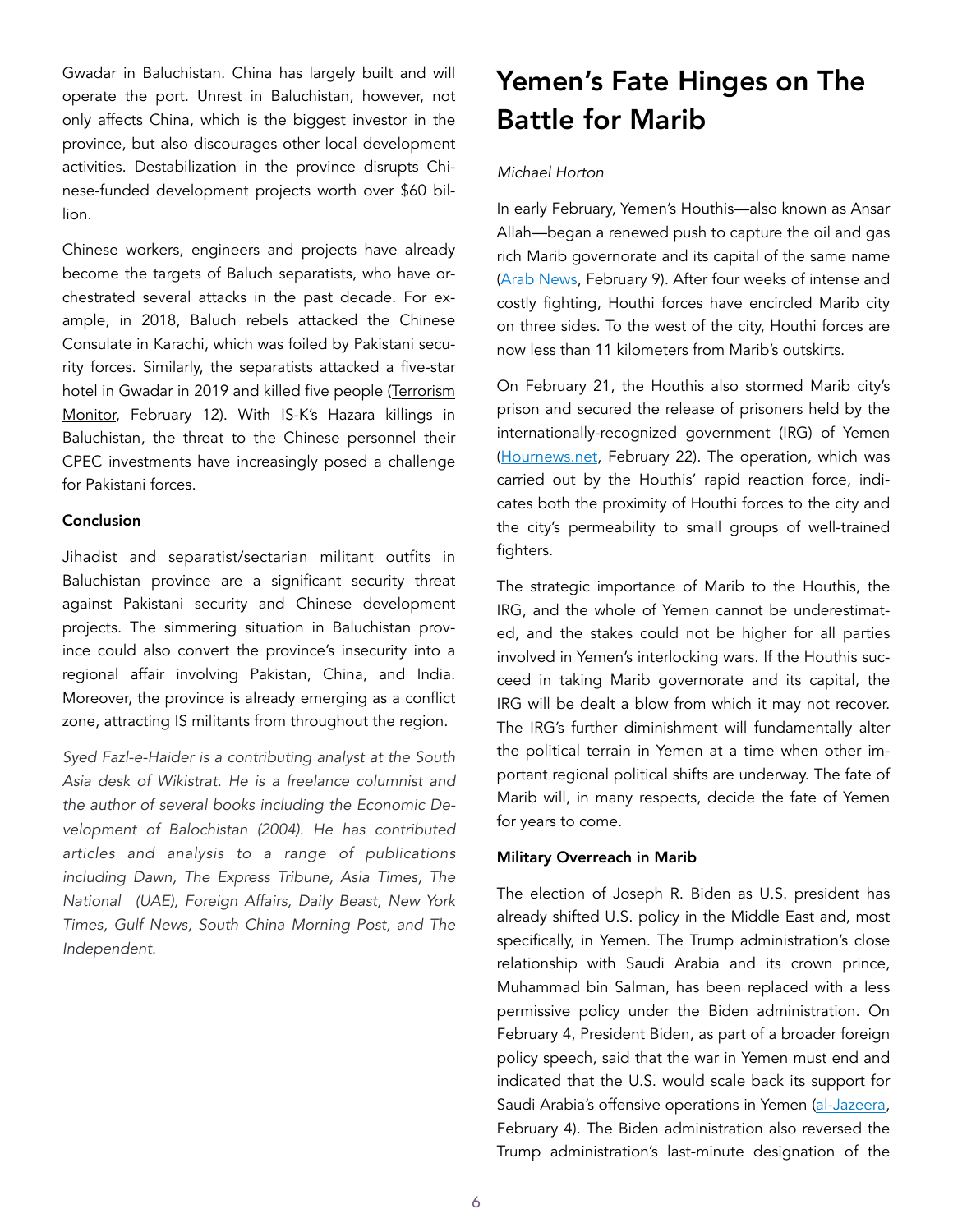Gwadar in Baluchistan. China has largely built and will operate the port. Unrest in Baluchistan, however, not only affects China, which is the biggest investor in the province, but also discourages other local development activities. Destabilization in the province disrupts Chinese-funded development projects worth over \$60 billion.

Chinese workers, engineers and projects have already become the targets of Baluch separatists, who have orchestrated several attacks in the past decade. For example, in 2018, Baluch rebels attacked the Chinese Consulate in Karachi, which was foiled by Pakistani security forces. Similarly, the separatists attacked a five-star hotel in Gwadar in 2019 and killed five people (Terrorism [Monitor,](https://jamestown.org/program/baluch-nationalist-separatist-militant-alliance-threatens-pakistani-security-forces/) February 12). With IS-K's Hazara killings in Baluchistan, the threat to the Chinese personnel their CPEC investments have increasingly posed a challenge for Pakistani forces.

### **Conclusion**

Jihadist and separatist/sectarian militant outfits in Baluchistan province are a significant security threat against Pakistani security and Chinese development projects. The simmering situation in Baluchistan province could also convert the province's insecurity into a regional affair involving Pakistan, China, and India. Moreover, the province is already emerging as a conflict zone, attracting IS militants from throughout the region.

*Syed Fazl-e-Haider is a contributing analyst at the South Asia desk of Wikistrat. He is a freelance columnist and the author of several books including the Economic Development of Balochistan (2004). He has contributed articles and analysis to a range of publications including Dawn, The Express Tribune, Asia Times, The National (UAE), Foreign Affairs, Daily Beast, New York Times, Gulf News, South China Morning Post, and The Independent.* 

## Yemen's Fate Hinges on The Battle for Marib

### *Michael Horton*

In early February, Yemen's Houthis—also known as Ansar Allah—began a renewed push to capture the oil and gas rich Marib governorate and its capital of the same name ([Arab News](https://www.arabnews.com/node/1806076/middle-east), February 9). After four weeks of intense and costly fighting, Houthi forces have encircled Marib city on three sides. To the west of the city, Houthi forces are now less than 11 kilometers from Marib's outskirts.

On February 21, the Houthis also stormed Marib city's prison and secured the release of prisoners held by the internationally-recognized government (IRG) of Yemen ([Hournews.net,](https://hournews.net/105906/-%D9%88%D8%B2%D8%A7%D8%B1%D8%A9-%D8%A7%D9%84%D8%AF%D8%A7%D8%AE%D9%84%D9%8A%D8%A9-%D9%81%D9%8A-%D8%AD%D9%83%D9%88%D9%85%D8%A9-%D8%B5%D9%86%D8%B9%D8%A7%D8%A1-%D8%AA%D9%83%D8%B4%D9%81-%D8%B9%D9%86-%D8%AA%D9%86%D9%81%D9%8A%D8%B0-%D8%B9%D9%85%D9%84%D9%8A%D8%A9-%D8%A3%D9%85%D9%86%D9%8A%D8%A9-%D9%84%D8%A5%D9%82%D8%AA%D8%AD%D8%A7%D9%85-%D8%A3%D8%AD%D8%AF-%D8%A7%D9%84%D8%B3%D8%AC%D9%88%D9%86-%D9%81%D9%8A-%D9%85%D8%A3%D8%B1%D8%A8) February 22). The operation, which was carried out by the Houthis' rapid reaction force, indicates both the proximity of Houthi forces to the city and the city's permeability to small groups of well-trained fighters.

The strategic importance of Marib to the Houthis, the IRG, and the whole of Yemen cannot be underestimated, and the stakes could not be higher for all parties involved in Yemen's interlocking wars. If the Houthis succeed in taking Marib governorate and its capital, the IRG will be dealt a blow from which it may not recover. The IRG's further diminishment will fundamentally alter the political terrain in Yemen at a time when other important regional political shifts are underway. The fate of Marib will, in many respects, decide the fate of Yemen for years to come.

### Military Overreach in Marib

The election of Joseph R. Biden as U.S. president has already shifted U.S. policy in the Middle East and, most specifically, in Yemen. The Trump administration's close relationship with Saudi Arabia and its crown prince, Muhammad bin Salman, has been replaced with a less permissive policy under the Biden administration. On February 4, President Biden, as part of a broader foreign policy speech, said that the war in Yemen must end and indicated that the U.S. would scale back its support for Saudi Arabia's offensive operations in Yemen [\(al-Jazeera](https://www.aljazeera.com/news/2021/2/4/biden-to-announce-a-special-envoy-for-yemen), February 4). The Biden administration also reversed the Trump administration's last-minute designation of the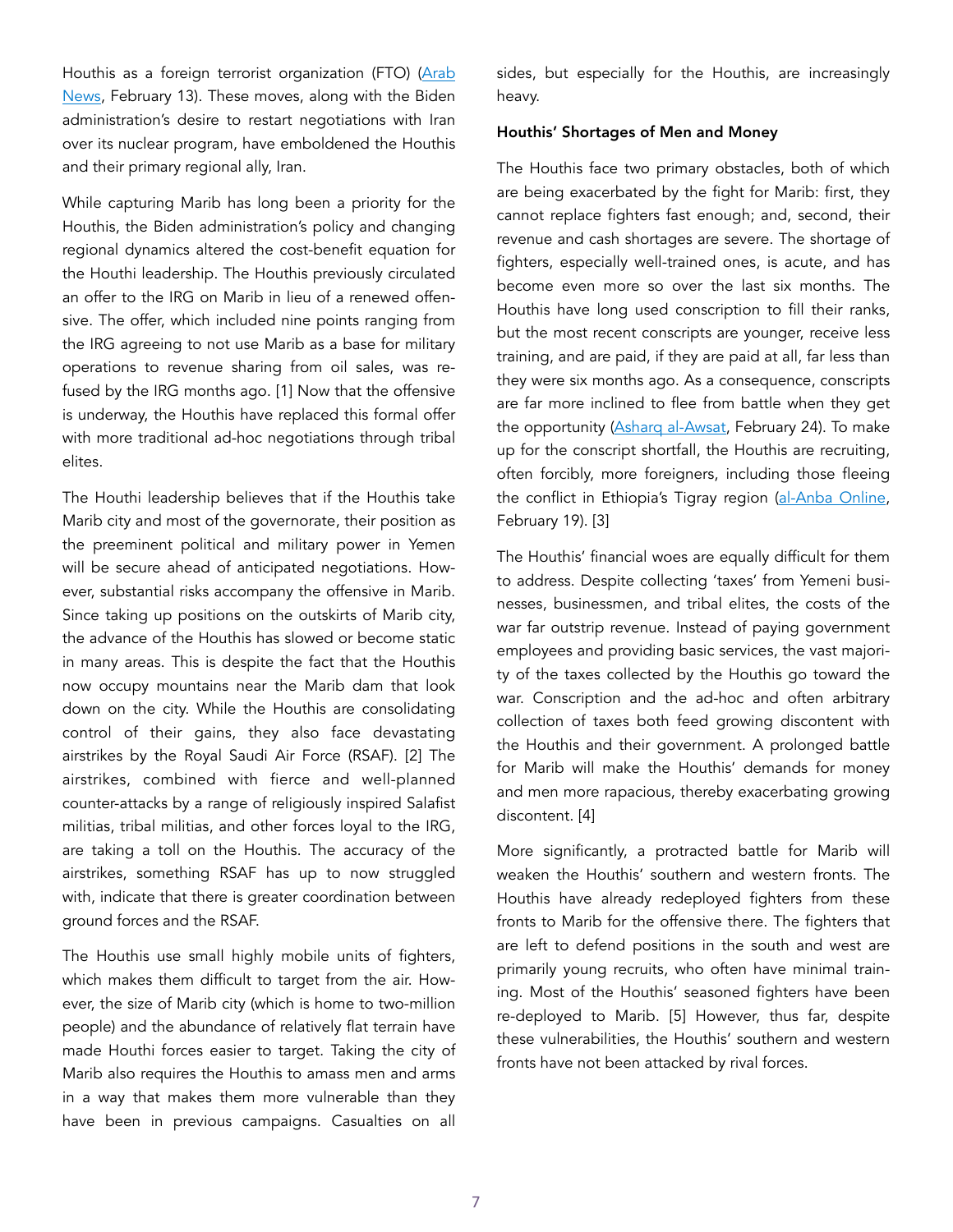Houthis as a foreign terrorist organization (FTO) [\(Arab](https://www.arabnews.com/node/1808196/middle-east)  [News,](https://www.arabnews.com/node/1808196/middle-east) February 13). These moves, along with the Biden administration's desire to restart negotiations with Iran over its nuclear program, have emboldened the Houthis and their primary regional ally, Iran.

While capturing Marib has long been a priority for the Houthis, the Biden administration's policy and changing regional dynamics altered the cost-benefit equation for the Houthi leadership. The Houthis previously circulated an offer to the IRG on Marib in lieu of a renewed offensive. The offer, which included nine points ranging from the IRG agreeing to not use Marib as a base for military operations to revenue sharing from oil sales, was refused by the IRG months ago. [1] Now that the offensive is underway, the Houthis have replaced this formal offer with more traditional ad-hoc negotiations through tribal elites.

The Houthi leadership believes that if the Houthis take Marib city and most of the governorate, their position as the preeminent political and military power in Yemen will be secure ahead of anticipated negotiations. However, substantial risks accompany the offensive in Marib. Since taking up positions on the outskirts of Marib city, the advance of the Houthis has slowed or become static in many areas. This is despite the fact that the Houthis now occupy mountains near the Marib dam that look down on the city. While the Houthis are consolidating control of their gains, they also face devastating airstrikes by the Royal Saudi Air Force (RSAF). [2] The airstrikes, combined with fierce and well-planned counter-attacks by a range of religiously inspired Salafist militias, tribal militias, and other forces loyal to the IRG, are taking a toll on the Houthis. The accuracy of the airstrikes, something RSAF has up to now struggled with, indicate that there is greater coordination between ground forces and the RSAF.

The Houthis use small highly mobile units of fighters, which makes them difficult to target from the air. However, the size of Marib city (which is home to two-million people) and the abundance of relatively flat terrain have made Houthi forces easier to target. Taking the city of Marib also requires the Houthis to amass men and arms in a way that makes them more vulnerable than they have been in previous campaigns. Casualties on all

sides, but especially for the Houthis, are increasingly heavy.

### Houthis' Shortages of Men and Money

The Houthis face two primary obstacles, both of which are being exacerbated by the fight for Marib: first, they cannot replace fighters fast enough; and, second, their revenue and cash shortages are severe. The shortage of fighters, especially well-trained ones, is acute, and has become even more so over the last six months. The Houthis have long used conscription to fill their ranks, but the most recent conscripts are younger, receive less training, and are paid, if they are paid at all, far less than they were six months ago. As a consequence, conscripts are far more inclined to flee from battle when they get the opportunity ([Asharq al-Awsat,](https://english.aawsat.com/home/article/2825036/houthis-form-specialized-taskforce-tracking-fighters-who-fled-battlegrounds) February 24). To make up for the conscript shortfall, the Houthis are recruiting, often forcibly, more foreigners, including those fleeing the conflict in Ethiopia's Tigray region ([al-Anba Online](https://sahafatak.net/show2254086.html), February 19). [3]

The Houthis' financial woes are equally difficult for them to address. Despite collecting 'taxes' from Yemeni businesses, businessmen, and tribal elites, the costs of the war far outstrip revenue. Instead of paying government employees and providing basic services, the vast majority of the taxes collected by the Houthis go toward the war. Conscription and the ad-hoc and often arbitrary collection of taxes both feed growing discontent with the Houthis and their government. A prolonged battle for Marib will make the Houthis' demands for money and men more rapacious, thereby exacerbating growing discontent. [4]

More significantly, a protracted battle for Marib will weaken the Houthis' southern and western fronts. The Houthis have already redeployed fighters from these fronts to Marib for the offensive there. The fighters that are left to defend positions in the south and west are primarily young recruits, who often have minimal training. Most of the Houthis' seasoned fighters have been re-deployed to Marib. [5] However, thus far, despite these vulnerabilities, the Houthis' southern and western fronts have not been attacked by rival forces.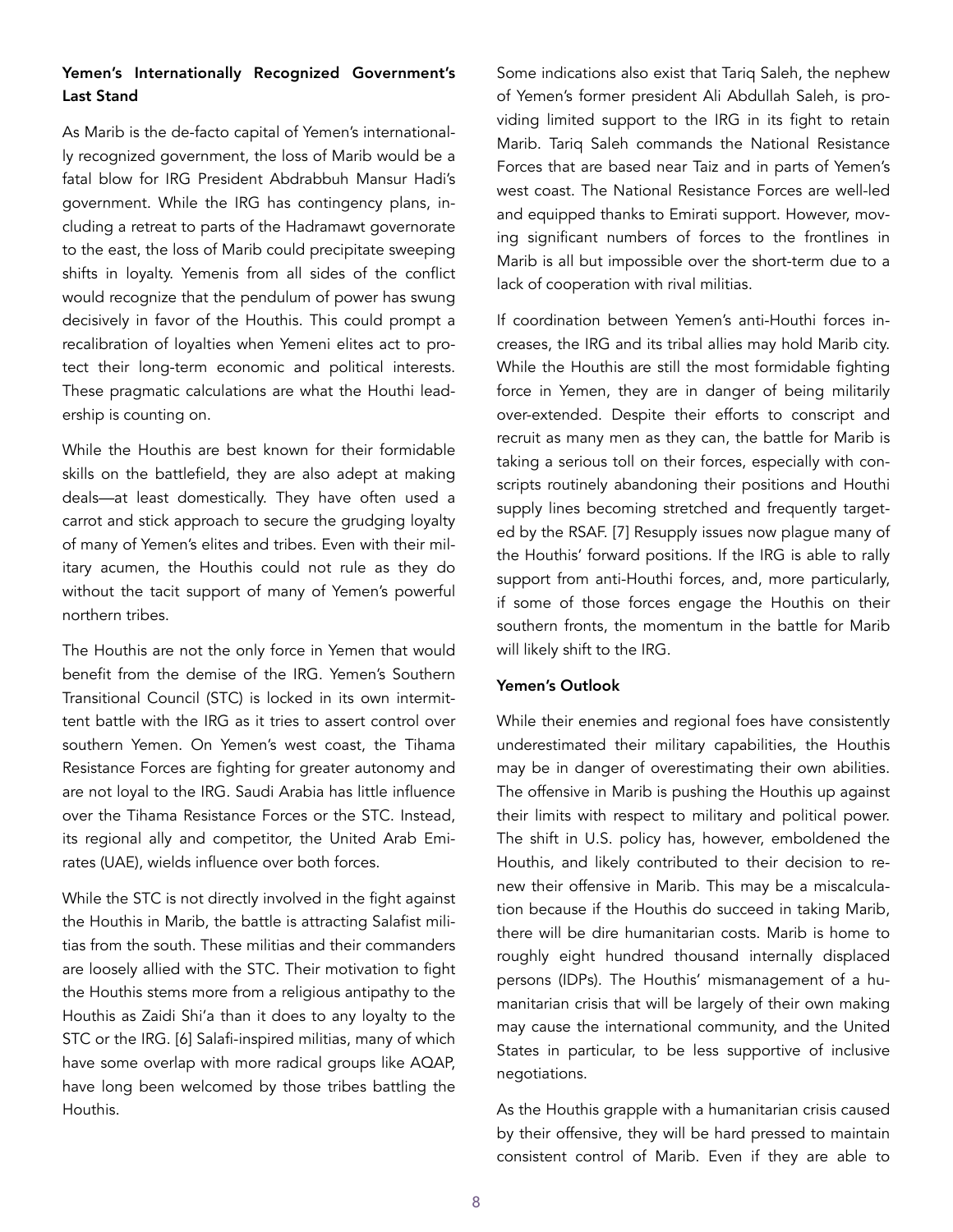## Yemen's Internationally Recognized Government's Last Stand

As Marib is the de-facto capital of Yemen's internationally recognized government, the loss of Marib would be a fatal blow for IRG President Abdrabbuh Mansur Hadi's government. While the IRG has contingency plans, including a retreat to parts of the Hadramawt governorate to the east, the loss of Marib could precipitate sweeping shifts in loyalty. Yemenis from all sides of the conflict would recognize that the pendulum of power has swung decisively in favor of the Houthis. This could prompt a recalibration of loyalties when Yemeni elites act to protect their long-term economic and political interests. These pragmatic calculations are what the Houthi leadership is counting on.

While the Houthis are best known for their formidable skills on the battlefield, they are also adept at making deals—at least domestically. They have often used a carrot and stick approach to secure the grudging loyalty of many of Yemen's elites and tribes. Even with their military acumen, the Houthis could not rule as they do without the tacit support of many of Yemen's powerful northern tribes.

The Houthis are not the only force in Yemen that would benefit from the demise of the IRG. Yemen's Southern Transitional Council (STC) is locked in its own intermittent battle with the IRG as it tries to assert control over southern Yemen. On Yemen's west coast, the Tihama Resistance Forces are fighting for greater autonomy and are not loyal to the IRG. Saudi Arabia has little influence over the Tihama Resistance Forces or the STC. Instead, its regional ally and competitor, the United Arab Emirates (UAE), wields influence over both forces.

While the STC is not directly involved in the fight against the Houthis in Marib, the battle is attracting Salafist militias from the south. These militias and their commanders are loosely allied with the STC. Their motivation to fight the Houthis stems more from a religious antipathy to the Houthis as Zaidi Shi'a than it does to any loyalty to the STC or the IRG. [6] Salafi-inspired militias, many of which have some overlap with more radical groups like AQAP, have long been welcomed by those tribes battling the Houthis.

Some indications also exist that Tariq Saleh, the nephew of Yemen's former president Ali Abdullah Saleh, is providing limited support to the IRG in its fight to retain Marib. Tariq Saleh commands the National Resistance Forces that are based near Taiz and in parts of Yemen's west coast. The National Resistance Forces are well-led and equipped thanks to Emirati support. However, moving significant numbers of forces to the frontlines in Marib is all but impossible over the short-term due to a lack of cooperation with rival militias.

If coordination between Yemen's anti-Houthi forces increases, the IRG and its tribal allies may hold Marib city. While the Houthis are still the most formidable fighting force in Yemen, they are in danger of being militarily over-extended. Despite their efforts to conscript and recruit as many men as they can, the battle for Marib is taking a serious toll on their forces, especially with conscripts routinely abandoning their positions and Houthi supply lines becoming stretched and frequently targeted by the RSAF. [7] Resupply issues now plague many of the Houthis' forward positions. If the IRG is able to rally support from anti-Houthi forces, and, more particularly, if some of those forces engage the Houthis on their southern fronts, the momentum in the battle for Marib will likely shift to the IRG.

### Yemen's Outlook

While their enemies and regional foes have consistently underestimated their military capabilities, the Houthis may be in danger of overestimating their own abilities. The offensive in Marib is pushing the Houthis up against their limits with respect to military and political power. The shift in U.S. policy has, however, emboldened the Houthis, and likely contributed to their decision to renew their offensive in Marib. This may be a miscalculation because if the Houthis do succeed in taking Marib, there will be dire humanitarian costs. Marib is home to roughly eight hundred thousand internally displaced persons (IDPs). The Houthis' mismanagement of a humanitarian crisis that will be largely of their own making may cause the international community, and the United States in particular, to be less supportive of inclusive negotiations.

As the Houthis grapple with a humanitarian crisis caused by their offensive, they will be hard pressed to maintain consistent control of Marib. Even if they are able to